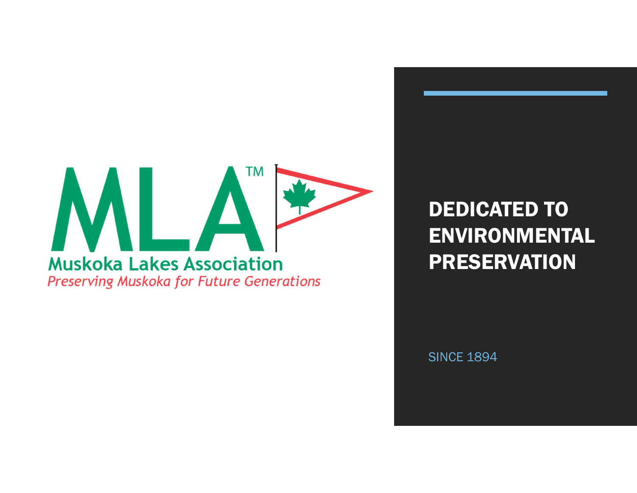

DEDICATED TO ENVIRONMENTAL PRESERVATION

**SINCE 1894**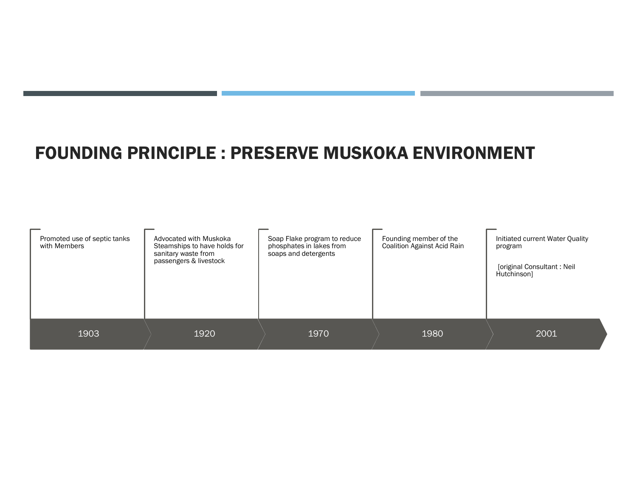#### FOUNDING PRINCIPLE : PRESERVE MUSKOKA ENVIRONMENT

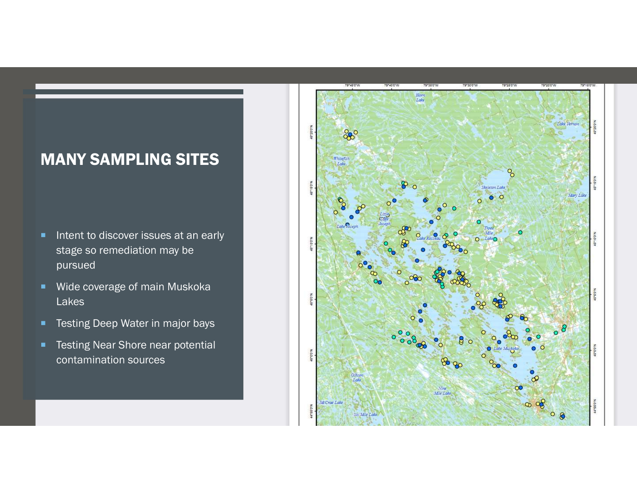#### MANY SAMPLING SITES

- Intent to discover issues at an early stage so remediation may be pursued
- **Wide coverage of main Muskoka** Lakes
- **Testing Deep Water in major bays**
- **Testing Near Shore near potential** contamination sources

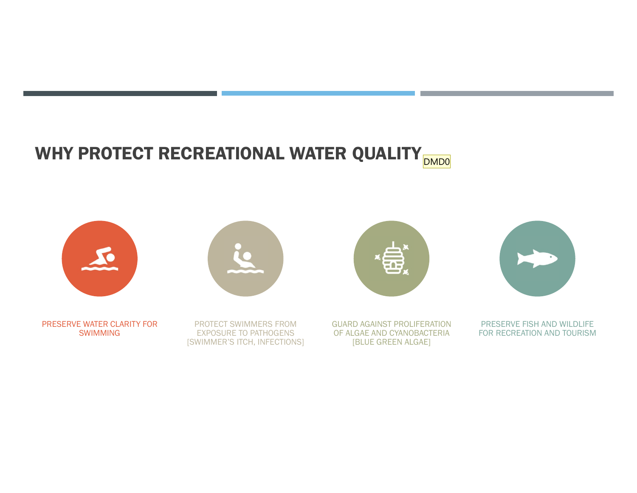### WHY PROTECT RECREATIONAL WATER QUALITY **DMD0**

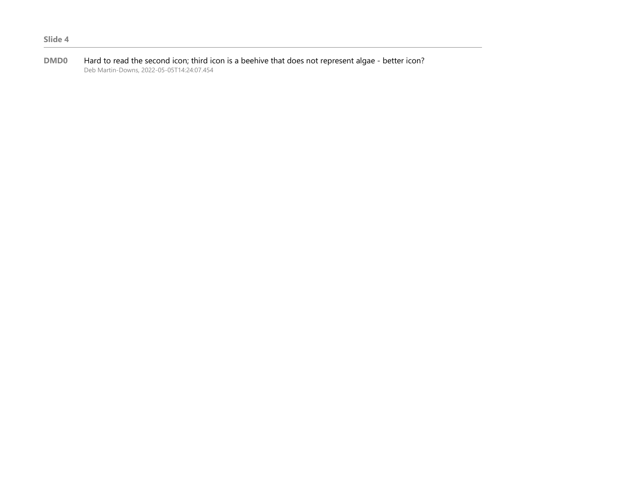DMD0 Hard to read the second icon; third icon is a beehive that does not represent algae - better icon? Deb Martin-Downs, 2022-05-05T14:24:07.454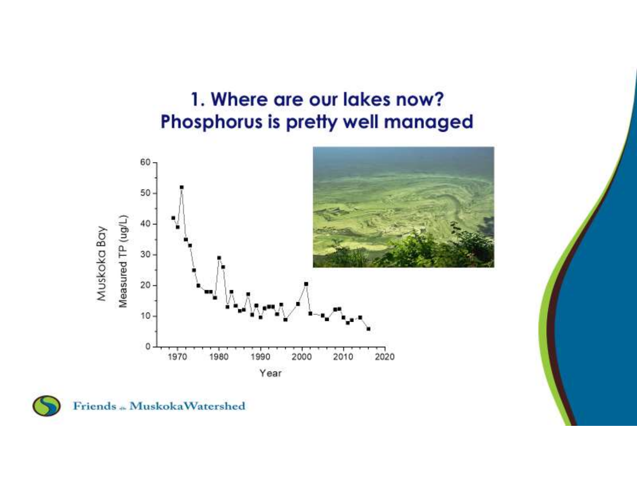### 1. Where are our lakes now? Phosphorus is pretty well managed





Friends ... MuskokaWatershed

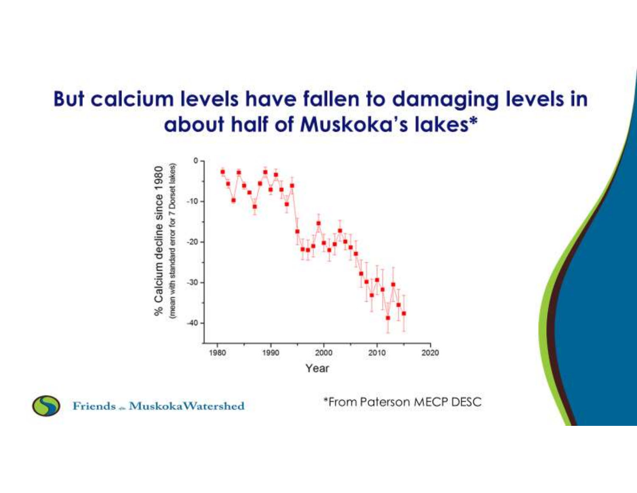# But calcium levels have fallen to damaging levels in about half of Muskoka's lakes\*





Friends - MuskokaWatershed

\*From Paterson MECP DESC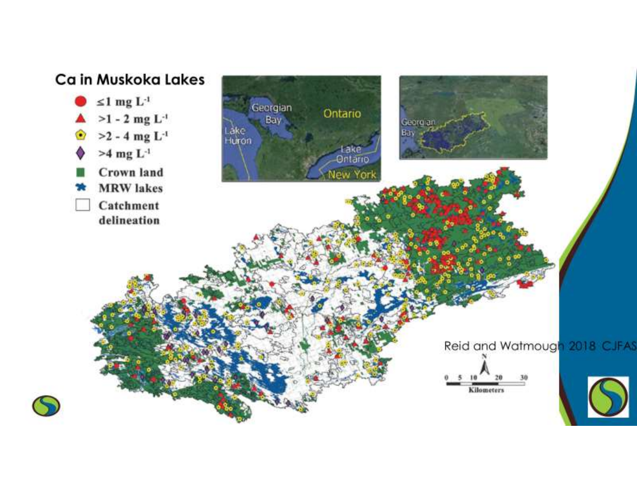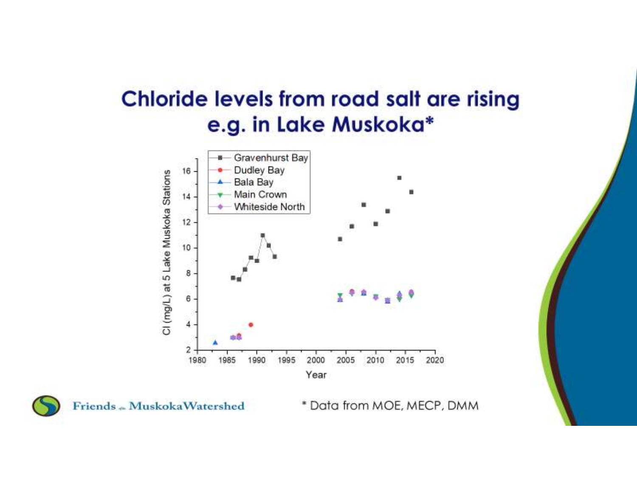# **Chloride levels from road salt are rising** e.g. in Lake Muskoka\*





Friends - MuskokaWatershed

\* Data from MOE, MECP, DMM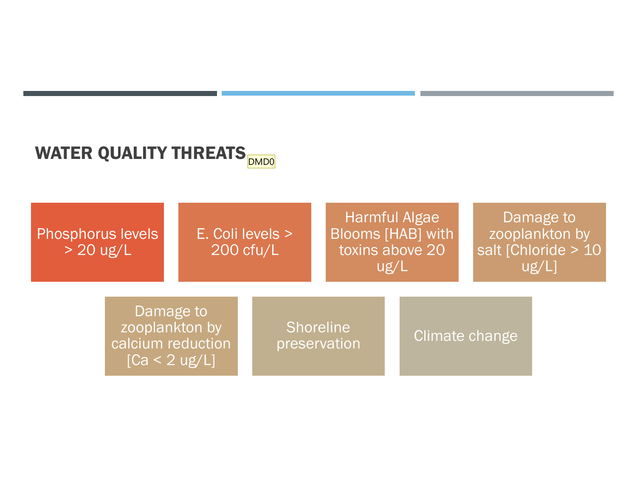## WATER QUALITY THREATS DRIVING THE REAL PROPERTY OF THE REAL PROPERTY  $\frac{1}{\sqrt{2}}$

Phosphorus levels  $> 20$  ug/L

E. Coli levels > 200 cfu/L

Harmful Algae Blooms [HAB] with toxins above 20 ug/L

Damage to zooplankton by salt [Chloride > 10 ug/L]

Damage to zooplankton by calcium reduction preservation  $[Ca < 2 ug/L]$ 

**Shoreline** 

**Climate change**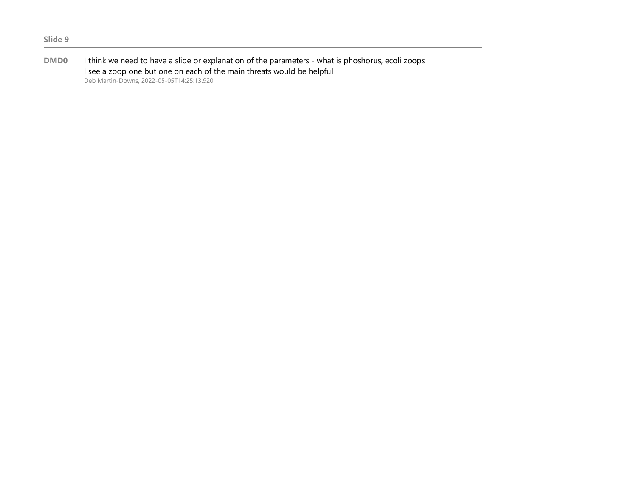DMD0 I think we need to have a slide or explanation of the parameters - what is phoshorus, ecoli zoops I see a zoop one but one on each of the main threats would be helpful Deb Martin-Downs, 2022-05-05T14:25:13.920